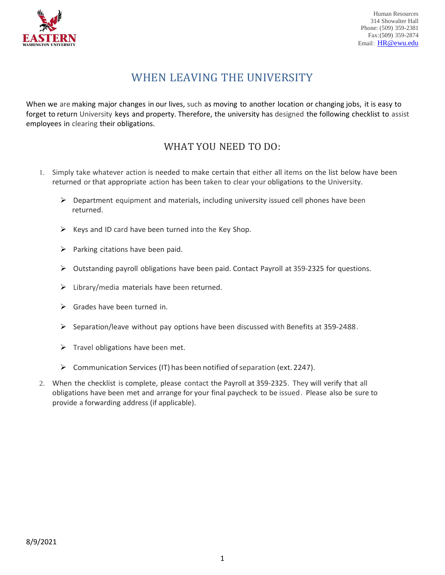

# WHEN LEAVING THE UNIVERSITY

When we are making major changes in our lives, such as moving to another location or changing jobs, it is easy to forget to return University keys and property. Therefore, the university has designed the following checklist to assist employees in clearing their obligations.

## WHAT YOU NEED TO DO:

- 1. Simply take whatever action is needed to make certain that either all items on the list below have been returned or that appropriate action has been taken to clear your obligations to the University.
	- $\triangleright$  Department equipment and materials, including university issued cell phones have been returned.
	- $\triangleright$  Keys and ID card have been turned into the Key Shop.
	- $\triangleright$  Parking citations have been paid.
	- $\triangleright$  Outstanding payroll obligations have been paid. Contact Payroll at 359-2325 for questions.
	- $\triangleright$  Library/media materials have been returned.
	- $\triangleright$  Grades have been turned in.
	- $\triangleright$  Separation/leave without pay options have been discussed with Benefits at 359-2488.
	- $\triangleright$  Travel obligations have been met.
	- $\triangleright$  Communication Services (IT) has been notified of separation (ext. 2247).
- 2. When the checklist is complete, please contact the Payroll at 359-2325. They will verify that all obligations have been met and arrange for your final paycheck to be issued. Please also be sure to provide a forwarding address (if applicable).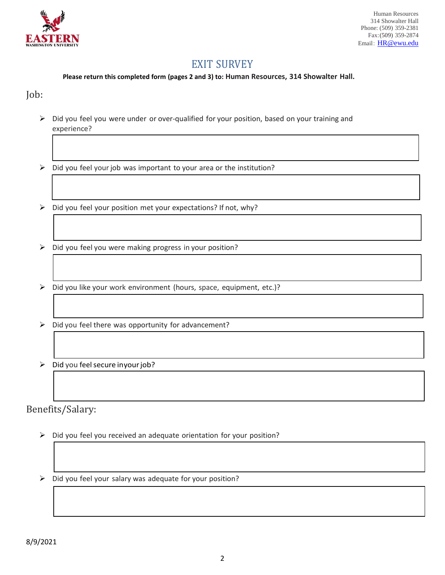

## EXIT SURVEY

#### **Please return this completed form (pages 2 and 3) to: Human Resources, 314 Showalter Hall.**

#### Job:

- $\triangleright$  Did you feel you were under or over-qualified for your position, based on your training and experience?
- $\triangleright$  Did you feel your job was important to your area or the institution?
- $\triangleright$  Did you feel your position met your expectations? If not, why?
- $\triangleright$  Did you feel you were making progress in your position?
- $\triangleright$  Did you like your work environment (hours, space, equipment, etc.)?
- $\triangleright$  Did you feel there was opportunity for advancement?
- $\triangleright$  Did you feel secure inyour job?

Benefits/Salary:

- $\triangleright$  Did you feel you received an adequate orientation for your position?
- $\triangleright$  Did you feel your salary was adequate for your position?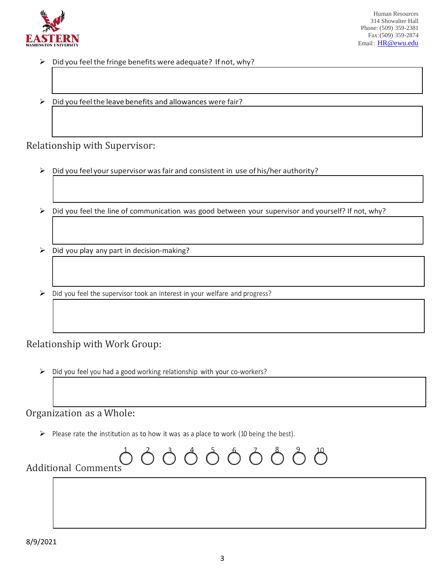

- $\triangleright$  Did you feel the fringe benefits were adequate? If not, why?
- $\triangleright$  Did you feel the leave benefits and allowances were fair?

### Relationship with Supervisor:

- $\triangleright$  Did you feel your supervisor was fair and consistent in use of his/her authority?
- $\triangleright$  Did you feel the line of communication was good between your supervisor and yourself? If not, why?
- $\triangleright$  Did you play any part in decision-making?
- $\triangleright$  Did you feel the supervisor took an interest in your welfare and progress?

### Relationship with Work Group:

 $\triangleright$  Did you feel you had a good working relationship with your co-workers?

### Organization as a Whole:

 $\triangleright$  Please rate the institution as to how it was as a place to work (10 being the best).

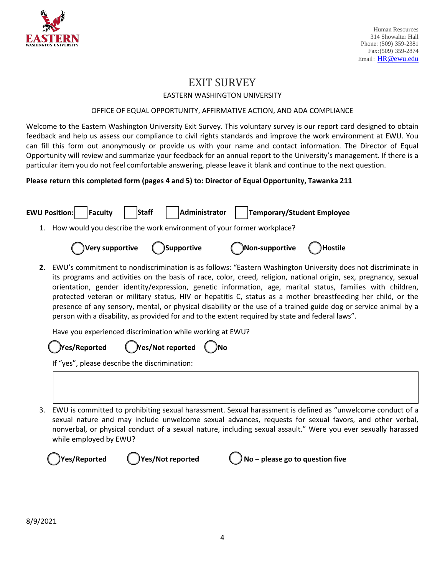

### EXIT SURVEY EASTERN WASHINGTON UNIVERSITY

#### OFFICE OF EQUAL OPPORTUNITY, AFFIRMATIVE ACTION, AND ADA COMPLIANCE

Welcome to the Eastern Washington University Exit Survey. This voluntary survey is our report card designed to obtain feedback and help us assess our compliance to civil rights standards and improve the work environment at EWU. You can fill this form out anonymously or provide us with your name and contact information. The Director of Equal Opportunity will review and summarize your feedback for an annual report to the University's management. If there is a particular item you do not feel comfortable answering, please leave it blank and continue to the next question.

#### **Please return this completed form (pages 4 and 5) to: Director of Equal Opportunity, Tawanka 211**

| 1. | How would you describe the work environment of your former workplace?                                                                                                                                                                                                                                                                                                                                                                                                                                                                                                                                                                                                                   |
|----|-----------------------------------------------------------------------------------------------------------------------------------------------------------------------------------------------------------------------------------------------------------------------------------------------------------------------------------------------------------------------------------------------------------------------------------------------------------------------------------------------------------------------------------------------------------------------------------------------------------------------------------------------------------------------------------------|
|    | Very supportive<br>Supportive<br>Non-supportive)<br><b>Hostile</b>                                                                                                                                                                                                                                                                                                                                                                                                                                                                                                                                                                                                                      |
| 2. | EWU's commitment to nondiscrimination is as follows: "Eastern Washington University does not discriminate in<br>its programs and activities on the basis of race, color, creed, religion, national origin, sex, pregnancy, sexual<br>orientation, gender identity/expression, genetic information, age, marital status, families with children,<br>protected veteran or military status, HIV or hepatitis C, status as a mother breastfeeding her child, or the<br>presence of any sensory, mental, or physical disability or the use of a trained guide dog or service animal by a<br>person with a disability, as provided for and to the extent required by state and federal laws". |
|    | Have you experienced discrimination while working at EWU?                                                                                                                                                                                                                                                                                                                                                                                                                                                                                                                                                                                                                               |
|    | Yes/Reported                                                                                                                                                                                                                                                                                                                                                                                                                                                                                                                                                                                                                                                                            |
|    | If "yes", please describe the discrimination:                                                                                                                                                                                                                                                                                                                                                                                                                                                                                                                                                                                                                                           |
|    |                                                                                                                                                                                                                                                                                                                                                                                                                                                                                                                                                                                                                                                                                         |